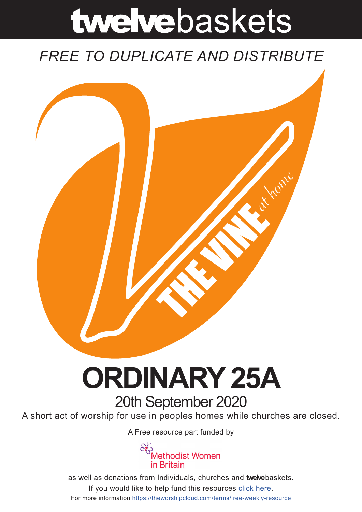# twelvebaskets

### *FREE TO DUPLICATE AND DISTRIBUTE*



## **ORDINARY 25A** 20th September 2020

A short act of worship for use in peoples homes while churches are closed.

A [Free resource part funded](https://mwib.org.uk) by



as well as donations from Individuals, churches and **twelve**baskets. If you would like to help fund this resources [click here]( https://theworshipcloud.com/tags/donation). For more information<https://theworshipcloud.com/terms/free-weekly-resource>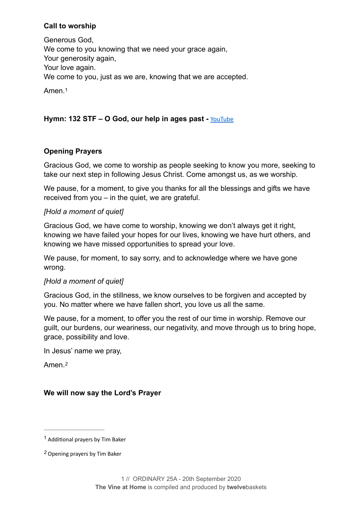#### **Call to worship**

Generous God, We come to you knowing that we need your grace again, Your generosity again, Your love again. We come to you, just as we are, knowing that we are accepted.

<span id="page-1-2"></span>Amen<sup>[1](#page-1-0)</sup>

#### **Hymn: 132 STF – O God, our help in ages past -** [YouTube](https://www.youtube.com/watch?v=d9ZINeNGvto)

#### **Opening Prayers**

Gracious God, we come to worship as people seeking to know you more, seeking to take our next step in following Jesus Christ. Come amongst us, as we worship.

We pause, for a moment, to give you thanks for all the blessings and gifts we have received from you – in the quiet, we are grateful.

#### *[Hold a moment of quiet]*

Gracious God, we have come to worship, knowing we don't always get it right, knowing we have failed your hopes for our lives, knowing we have hurt others, and knowing we have missed opportunities to spread your love.

We pause, for moment, to say sorry, and to acknowledge where we have gone wrong.

#### *[Hold a moment of quiet]*

Gracious God, in the stillness, we know ourselves to be forgiven and accepted by you. No matter where we have fallen short, you love us all the same.

We pause, for a moment, to offer you the rest of our time in worship. Remove our guilt, our burdens, our weariness, our negativity, and move through us to bring hope, grace, possibility and love.

In Jesus' name we pray,

<span id="page-1-3"></span>Amen.*[2](#page-1-1)*

#### **We will now say the Lord's Prayer**

<span id="page-1-0"></span> $1$  Additional prayers by Tim Baker

<span id="page-1-1"></span>Opening prayers by Tim Baker *[2](#page-1-3)*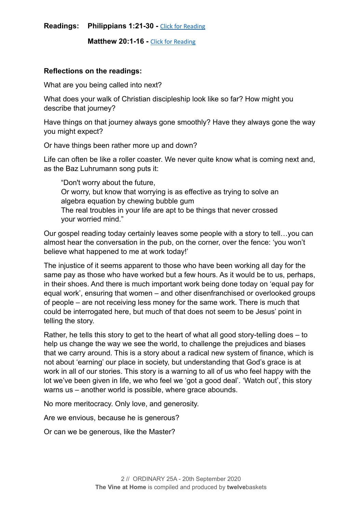**Readings:** Philippians 1:21-30 - [Click for Reading](https://www.biblegateway.com/passage/?search=Philippians+1:21-30&version=NRSV)

**Matthew 20:1-16 - [Click for Reading](https://www.biblegateway.com/passage/?search=+Matthew+20:1-16&version=NRSV)** 

#### **Reflections on the readings:**

What are you being called into next?

What does your walk of Christian discipleship look like so far? How might you describe that journey?

Have things on that journey always gone smoothly? Have they always gone the way you might expect?

Or have things been rather more up and down?

Life can often be like a roller coaster. We never quite know what is coming next and, as the Baz Luhrumann song puts it:

"Don't worry about the future, Or worry, but know that worrying is as effective as trying to solve an algebra equation by chewing bubble gum The real troubles in your life are apt to be things that never crossed your worried mind."

Our gospel reading today certainly leaves some people with a story to tell…you can almost hear the conversation in the pub, on the corner, over the fence: 'you won't believe what happened to me at work today!'

The injustice of it seems apparent to those who have been working all day for the same pay as those who have worked but a few hours. As it would be to us, perhaps, in their shoes. And there is much important work being done today on 'equal pay for equal work', ensuring that women – and other disenfranchised or overlooked groups of people – are not receiving less money for the same work. There is much that could be interrogated here, but much of that does not seem to be Jesus' point in telling the story.

Rather, he tells this story to get to the heart of what all good story-telling does – to help us change the way we see the world, to challenge the prejudices and biases that we carry around. This is a story about a radical new system of finance, which is not about 'earning' our place in society, but understanding that God's grace is at work in all of our stories. This story is a warning to all of us who feel happy with the lot we've been given in life, we who feel we 'got a good deal'. 'Watch out', this story warns us – another world is possible, where grace abounds.

No more meritocracy. Only love, and generosity.

Are we envious, because he is generous?

Or can we be generous, like the Master?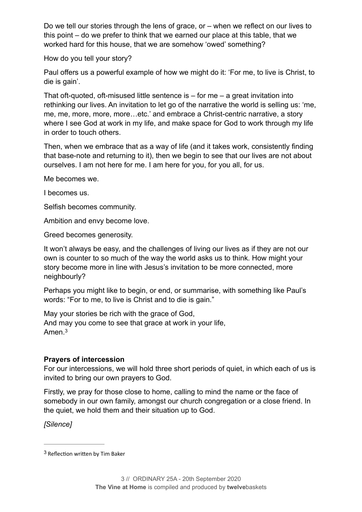Do we tell our stories through the lens of grace, or – when we reflect on our lives to this point – do we prefer to think that we earned our place at this table, that we worked hard for this house, that we are somehow 'owed' something?

How do you tell your story?

Paul offers us a powerful example of how we might do it: 'For me, to live is Christ, to die is gain'.

That oft-quoted, oft-misused little sentence is  $-$  for me  $-$  a great invitation into rethinking our lives. An invitation to let go of the narrative the world is selling us: 'me, me, me, more, more, more…etc.' and embrace a Christ-centric narrative, a story where I see God at work in my life, and make space for God to work through my life in order to touch others.

Then, when we embrace that as a way of life (and it takes work, consistently finding that base-note and returning to it), then we begin to see that our lives are not about ourselves. I am not here for me. I am here for you, for you all, for us.

Me becomes we.

I becomes us.

Selfish becomes community.

Ambition and envy become love.

Greed becomes generosity.

It won't always be easy, and the challenges of living our lives as if they are not our own is counter to so much of the way the world asks us to think. How might your story become more in line with Jesus's invitation to be more connected, more neighbourly?

Perhaps you might like to begin, or end, or summarise, with something like Paul's words: "For to me, to live is Christ and to die is gain."

<span id="page-3-1"></span>May your stories be rich with the grace of God, And may you come to see that grace at work in your life, Amen.[3](#page-3-0)

#### **Prayers of intercession**

For our intercessions, we will hold three short periods of quiet, in which each of us is invited to bring our own prayers to God.

Firstly, we pray for those close to home, calling to mind the name or the face of somebody in our own family, amongst our church congregation or a close friend. In the quiet, we hold them and their situation up to God.

*[Silence]* 

<span id="page-3-0"></span> $3$  Reflection written by Tim Baker